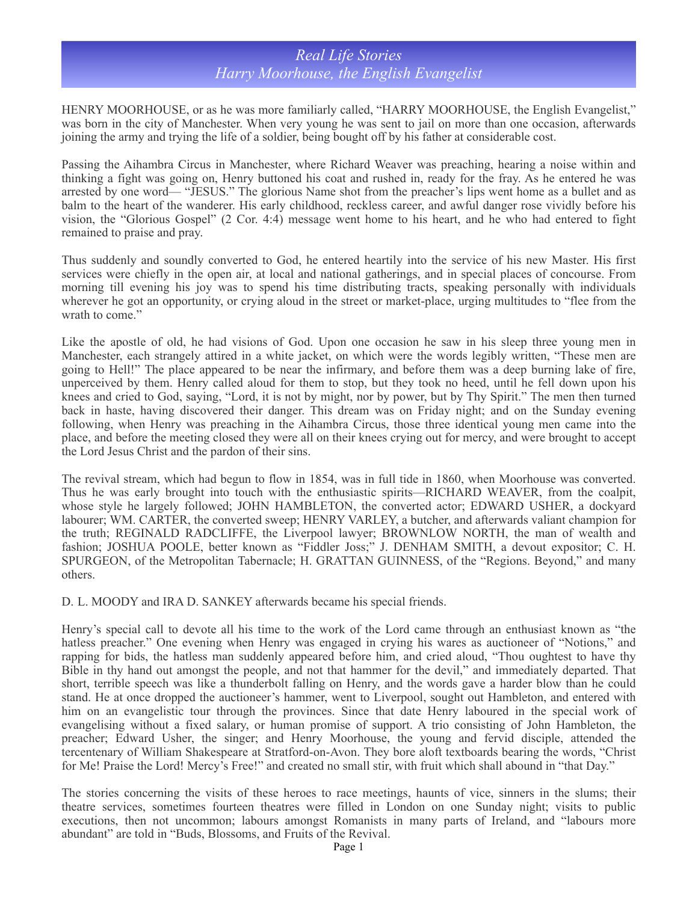## *Real Life Stories Harry Moorhouse, the English Evangelist*

HENRY MOORHOUSE, or as he was more familiarly called, "HARRY MOORHOUSE, the English Evangelist," was born in the city of Manchester. When very young he was sent to jail on more than one occasion, afterwards joining the army and trying the life of a soldier, being bought off by his father at considerable cost.

Passing the Aihambra Circus in Manchester, where Richard Weaver was preaching, hearing a noise within and thinking a fight was going on, Henry buttoned his coat and rushed in, ready for the fray. As he entered he was arrested by one word— "JESUS." The glorious Name shot from the preacher's lips went home as a bullet and as balm to the heart of the wanderer. His early childhood, reckless career, and awful danger rose vividly before his vision, the "Glorious Gospel" (2 Cor. 4:4) message went home to his heart, and he who had entered to fight remained to praise and pray.

Thus suddenly and soundly converted to God, he entered heartily into the service of his new Master. His first services were chiefly in the open air, at local and national gatherings, and in special places of concourse. From morning till evening his joy was to spend his time distributing tracts, speaking personally with individuals wherever he got an opportunity, or crying aloud in the street or market-place, urging multitudes to "flee from the wrath to come."

Like the apostle of old, he had visions of God. Upon one occasion he saw in his sleep three young men in Manchester, each strangely attired in a white jacket, on which were the words legibly written, "These men are going to Hell!" The place appeared to be near the infirmary, and before them was a deep burning lake of fire, unperceived by them. Henry called aloud for them to stop, but they took no heed, until he fell down upon his knees and cried to God, saying, "Lord, it is not by might, nor by power, but by Thy Spirit." The men then turned back in haste, having discovered their danger. This dream was on Friday night; and on the Sunday evening following, when Henry was preaching in the Aihambra Circus, those three identical young men came into the place, and before the meeting closed they were all on their knees crying out for mercy, and were brought to accept the Lord Jesus Christ and the pardon of their sins.

The revival stream, which had begun to flow in 1854, was in full tide in 1860, when Moorhouse was converted. Thus he was early brought into touch with the enthusiastic spirits—RICHARD WEAVER, from the coalpit, whose style he largely followed; JOHN HAMBLETON, the converted actor; EDWARD USHER, a dockyard labourer; WM. CARTER, the converted sweep; HENRY VARLEY, a butcher, and afterwards valiant champion for the truth; REGINALD RADCLIFFE, the Liverpool lawyer; BROWNLOW NORTH, the man of wealth and fashion; JOSHUA POOLE, better known as "Fiddler Joss;" J. DENHAM SMITH, a devout expositor; C. H. SPURGEON, of the Metropolitan Tabernacle; H. GRATTAN GUINNESS, of the "Regions. Beyond," and many others.

D. L. MOODY and IRA D. SANKEY afterwards became his special friends.

Henry's special call to devote all his time to the work of the Lord came through an enthusiast known as "the hatless preacher." One evening when Henry was engaged in crying his wares as auctioneer of "Notions," and rapping for bids, the hatless man suddenly appeared before him, and cried aloud, "Thou oughtest to have thy Bible in thy hand out amongst the people, and not that hammer for the devil," and immediately departed. That short, terrible speech was like a thunderbolt falling on Henry, and the words gave a harder blow than he could stand. He at once dropped the auctioneer's hammer, went to Liverpool, sought out Hambleton, and entered with him on an evangelistic tour through the provinces. Since that date Henry laboured in the special work of evangelising without a fixed salary, or human promise of support. A trio consisting of John Hambleton, the preacher; Edward Usher, the singer; and Henry Moorhouse, the young and fervid disciple, attended the tercentenary of William Shakespeare at Stratford-on-Avon. They bore aloft textboards bearing the words, "Christ for Me! Praise the Lord! Mercy's Free!" and created no small stir, with fruit which shall abound in "that Day."

The stories concerning the visits of these heroes to race meetings, haunts of vice, sinners in the slums; their theatre services, sometimes fourteen theatres were filled in London on one Sunday night; visits to public executions, then not uncommon; labours amongst Romanists in many parts of Ireland, and "labours more abundant" are told in "Buds, Blossoms, and Fruits of the Revival.